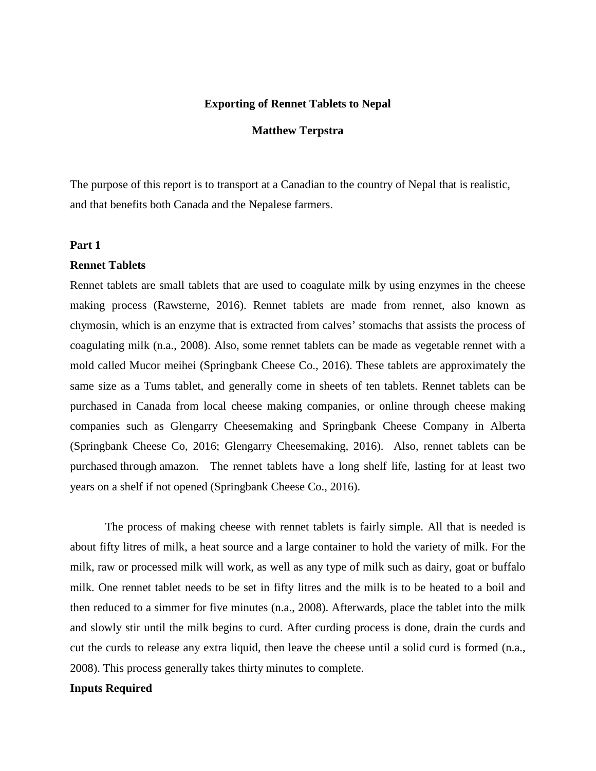# **Exporting of Rennet Tablets to Nepal**

# **Matthew Terpstra**

The purpose of this report is to transport at a Canadian to the country of Nepal that is realistic, and that benefits both Canada and the Nepalese farmers.

# **Part 1**

#### **Rennet Tablets**

Rennet tablets are small tablets that are used to coagulate milk by using enzymes in the cheese making process (Rawsterne, 2016). Rennet tablets are made from rennet, also known as chymosin, which is an enzyme that is extracted from calves' stomachs that assists the process of coagulating milk (n.a., 2008). Also, some rennet tablets can be made as vegetable rennet with a mold called Mucor meihei (Springbank Cheese Co., 2016). These tablets are approximately the same size as a Tums tablet, and generally come in sheets of ten tablets. Rennet tablets can be purchased in Canada from local cheese making companies, or online through cheese making companies such as Glengarry Cheesemaking and Springbank Cheese Company in Alberta (Springbank Cheese Co, 2016; Glengarry Cheesemaking, 2016). Also, rennet tablets can be purchased through amazon. The rennet tablets have a long shelf life, lasting for at least two years on a shelf if not opened (Springbank Cheese Co., 2016).

The process of making cheese with rennet tablets is fairly simple. All that is needed is about fifty litres of milk, a heat source and a large container to hold the variety of milk. For the milk, raw or processed milk will work, as well as any type of milk such as dairy, goat or buffalo milk. One rennet tablet needs to be set in fifty litres and the milk is to be heated to a boil and then reduced to a simmer for five minutes (n.a., 2008). Afterwards, place the tablet into the milk and slowly stir until the milk begins to curd. After curding process is done, drain the curds and cut the curds to release any extra liquid, then leave the cheese until a solid curd is formed (n.a., 2008). This process generally takes thirty minutes to complete.

#### **Inputs Required**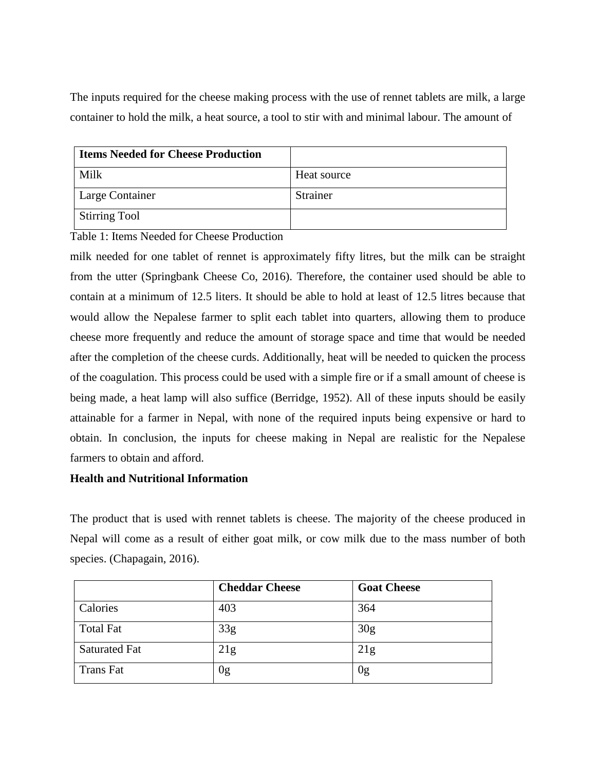The inputs required for the cheese making process with the use of rennet tablets are milk, a large container to hold the milk, a heat source, a tool to stir with and minimal labour. The amount of

| <b>Items Needed for Cheese Production</b> |                 |
|-------------------------------------------|-----------------|
| Milk                                      | Heat source     |
| <b>Large Container</b>                    | <b>Strainer</b> |
| <b>Stirring Tool</b>                      |                 |

Table 1: Items Needed for Cheese Production

milk needed for one tablet of rennet is approximately fifty litres, but the milk can be straight from the utter (Springbank Cheese Co, 2016). Therefore, the container used should be able to contain at a minimum of 12.5 liters. It should be able to hold at least of 12.5 litres because that would allow the Nepalese farmer to split each tablet into quarters, allowing them to produce cheese more frequently and reduce the amount of storage space and time that would be needed after the completion of the cheese curds. Additionally, heat will be needed to quicken the process of the coagulation. This process could be used with a simple fire or if a small amount of cheese is being made, a heat lamp will also suffice (Berridge, 1952). All of these inputs should be easily attainable for a farmer in Nepal, with none of the required inputs being expensive or hard to obtain. In conclusion, the inputs for cheese making in Nepal are realistic for the Nepalese farmers to obtain and afford.

# **Health and Nutritional Information**

The product that is used with rennet tablets is cheese. The majority of the cheese produced in Nepal will come as a result of either goat milk, or cow milk due to the mass number of both species. (Chapagain, 2016).

|                      | <b>Cheddar Cheese</b> | <b>Goat Cheese</b> |
|----------------------|-----------------------|--------------------|
| Calories             | 403                   | 364                |
| <b>Total Fat</b>     | 33g                   | 30 <sub>g</sub>    |
| <b>Saturated Fat</b> | 21g                   | 21g                |
| <b>Trans Fat</b>     | 0 <sub>g</sub>        | 0 <sub>g</sub>     |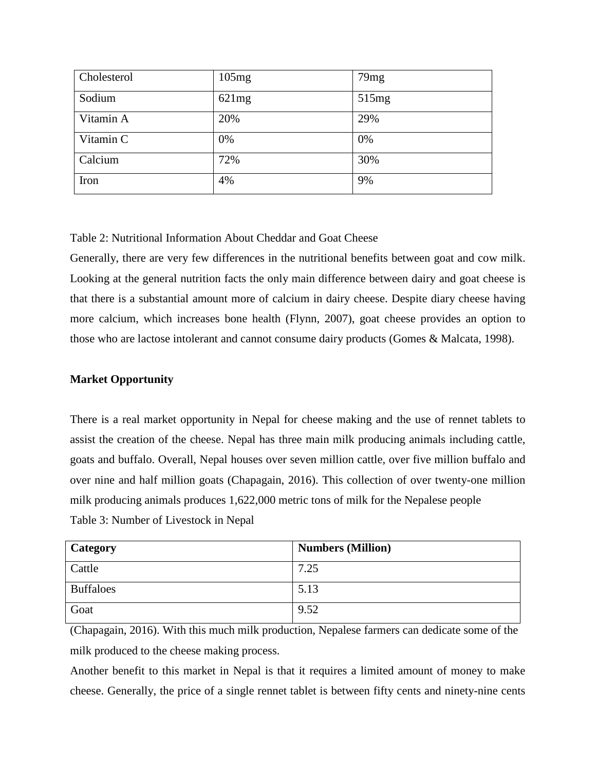| Cholesterol | 105mg | 79mg              |
|-------------|-------|-------------------|
| Sodium      | 621mg | 515 <sub>mg</sub> |
| Vitamin A   | 20%   | 29%               |
| Vitamin C   | 0%    | 0%                |
| Calcium     | 72%   | 30%               |
| Iron        | 4%    | 9%                |

Table 2: Nutritional Information About Cheddar and Goat Cheese

Generally, there are very few differences in the nutritional benefits between goat and cow milk. Looking at the general nutrition facts the only main difference between dairy and goat cheese is that there is a substantial amount more of calcium in dairy cheese. Despite diary cheese having more calcium, which increases bone health (Flynn, 2007), goat cheese provides an option to those who are lactose intolerant and cannot consume dairy products (Gomes & Malcata, 1998).

# **Market Opportunity**

There is a real market opportunity in Nepal for cheese making and the use of rennet tablets to assist the creation of the cheese. Nepal has three main milk producing animals including cattle, goats and buffalo. Overall, Nepal houses over seven million cattle, over five million buffalo and over nine and half million goats (Chapagain, 2016). This collection of over twenty-one million milk producing animals produces 1,622,000 metric tons of milk for the Nepalese people Table 3: Number of Livestock in Nepal

| <b>Category</b>  | <b>Numbers (Million)</b> |
|------------------|--------------------------|
| Cattle           | 7.25                     |
| <b>Buffaloes</b> | 5.13                     |
| Goat             | 9.52                     |

(Chapagain, 2016). With this much milk production, Nepalese farmers can dedicate some of the milk produced to the cheese making process.

Another benefit to this market in Nepal is that it requires a limited amount of money to make cheese. Generally, the price of a single rennet tablet is between fifty cents and ninety-nine cents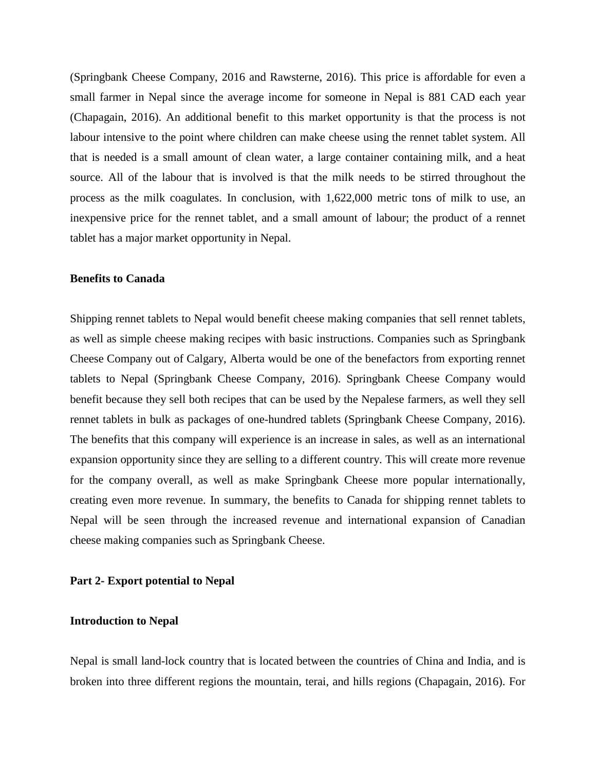(Springbank Cheese Company, 2016 and Rawsterne, 2016). This price is affordable for even a small farmer in Nepal since the average income for someone in Nepal is 881 CAD each year (Chapagain, 2016). An additional benefit to this market opportunity is that the process is not labour intensive to the point where children can make cheese using the rennet tablet system. All that is needed is a small amount of clean water, a large container containing milk, and a heat source. All of the labour that is involved is that the milk needs to be stirred throughout the process as the milk coagulates. In conclusion, with 1,622,000 metric tons of milk to use, an inexpensive price for the rennet tablet, and a small amount of labour; the product of a rennet tablet has a major market opportunity in Nepal.

# **Benefits to Canada**

Shipping rennet tablets to Nepal would benefit cheese making companies that sell rennet tablets, as well as simple cheese making recipes with basic instructions. Companies such as Springbank Cheese Company out of Calgary, Alberta would be one of the benefactors from exporting rennet tablets to Nepal (Springbank Cheese Company, 2016). Springbank Cheese Company would benefit because they sell both recipes that can be used by the Nepalese farmers, as well they sell rennet tablets in bulk as packages of one-hundred tablets (Springbank Cheese Company, 2016). The benefits that this company will experience is an increase in sales, as well as an international expansion opportunity since they are selling to a different country. This will create more revenue for the company overall, as well as make Springbank Cheese more popular internationally, creating even more revenue. In summary, the benefits to Canada for shipping rennet tablets to Nepal will be seen through the increased revenue and international expansion of Canadian cheese making companies such as Springbank Cheese.

# **Part 2- Export potential to Nepal**

# **Introduction to Nepal**

Nepal is small land-lock country that is located between the countries of China and India, and is broken into three different regions the mountain, terai, and hills regions (Chapagain, 2016). For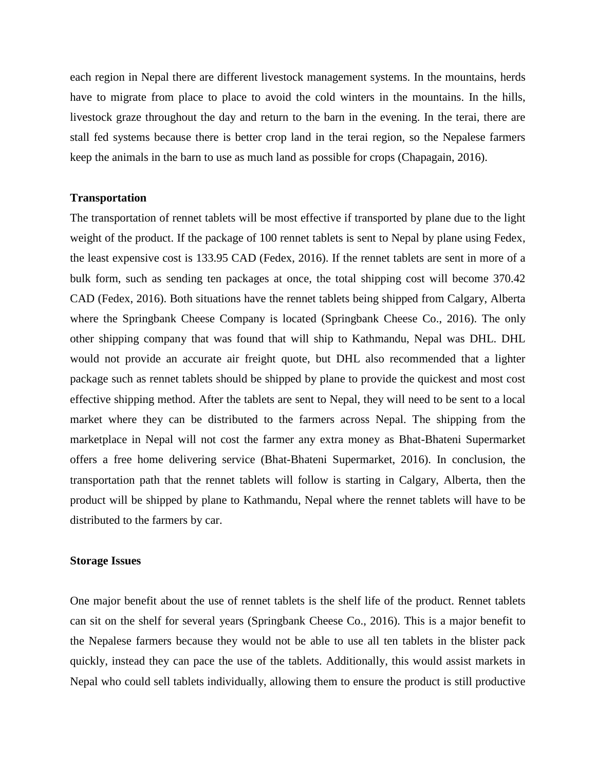each region in Nepal there are different livestock management systems. In the mountains, herds have to migrate from place to place to avoid the cold winters in the mountains. In the hills, livestock graze throughout the day and return to the barn in the evening. In the terai, there are stall fed systems because there is better crop land in the terai region, so the Nepalese farmers keep the animals in the barn to use as much land as possible for crops (Chapagain, 2016).

# **Transportation**

The transportation of rennet tablets will be most effective if transported by plane due to the light weight of the product. If the package of 100 rennet tablets is sent to Nepal by plane using Fedex, the least expensive cost is 133.95 CAD (Fedex, 2016). If the rennet tablets are sent in more of a bulk form, such as sending ten packages at once, the total shipping cost will become 370.42 CAD (Fedex, 2016). Both situations have the rennet tablets being shipped from Calgary, Alberta where the Springbank Cheese Company is located (Springbank Cheese Co., 2016). The only other shipping company that was found that will ship to Kathmandu, Nepal was DHL. DHL would not provide an accurate air freight quote, but DHL also recommended that a lighter package such as rennet tablets should be shipped by plane to provide the quickest and most cost effective shipping method. After the tablets are sent to Nepal, they will need to be sent to a local market where they can be distributed to the farmers across Nepal. The shipping from the marketplace in Nepal will not cost the farmer any extra money as Bhat-Bhateni Supermarket offers a free home delivering service (Bhat-Bhateni Supermarket, 2016). In conclusion, the transportation path that the rennet tablets will follow is starting in Calgary, Alberta, then the product will be shipped by plane to Kathmandu, Nepal where the rennet tablets will have to be distributed to the farmers by car.

#### **Storage Issues**

One major benefit about the use of rennet tablets is the shelf life of the product. Rennet tablets can sit on the shelf for several years (Springbank Cheese Co., 2016). This is a major benefit to the Nepalese farmers because they would not be able to use all ten tablets in the blister pack quickly, instead they can pace the use of the tablets. Additionally, this would assist markets in Nepal who could sell tablets individually, allowing them to ensure the product is still productive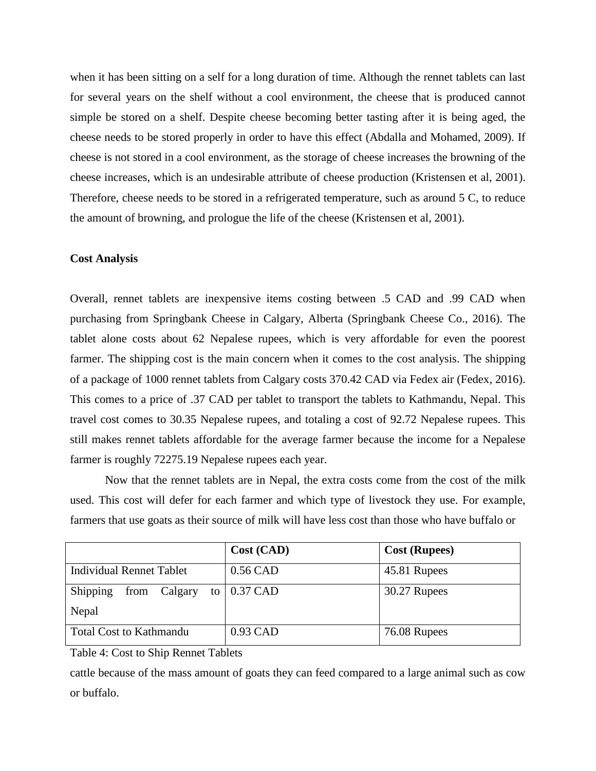when it has been sitting on a self for a long duration of time. Although the rennet tablets can last for several years on the shelf without a cool environment, the cheese that is produced cannot simple be stored on a shelf. Despite cheese becoming better tasting after it is being aged, the cheese needs to be stored properly in order to have this effect (Abdalla and Mohamed, 2009). If cheese is not stored in a cool environment, as the storage of cheese increases the browning of the cheese increases, which is an undesirable attribute of cheese production (Kristensen et al, 2001). Therefore, cheese needs to be stored in a refrigerated temperature, such as around 5 C, to reduce the amount of browning, and prologue the life of the cheese (Kristensen et al, 2001).

#### **Cost Analysis**

Overall, rennet tablets are inexpensive items costing between .5 CAD and .99 CAD when purchasing from Springbank Cheese in Calgary, Alberta (Springbank Cheese Co., 2016). The tablet alone costs about 62 Nepalese rupees, which is very affordable for even the poorest farmer. The shipping cost is the main concern when it comes to the cost analysis. The shipping of a package of 1000 rennet tablets from Calgary costs 370.42 CAD via Fedex air (Fedex, 2016). This comes to a price of .37 CAD per tablet to transport the tablets to Kathmandu, Nepal. This travel cost comes to 30.35 Nepalese rupees, and totaling a cost of 92.72 Nepalese rupees. This still makes rennet tablets affordable for the average farmer because the income for a Nepalese farmer is roughly 72275.19 Nepalese rupees each year.

Now that the rennet tablets are in Nepal, the extra costs come from the cost of the milk used. This cost will defer for each farmer and which type of livestock they use. For example, farmers that use goats as their source of milk will have less cost than those who have buffalo or

|                                 | Cost (CAD)          | <b>Cost (Rupees)</b> |
|---------------------------------|---------------------|----------------------|
| <b>Individual Rennet Tablet</b> | $0.56$ CAD          | 45.81 Rupees         |
| <b>Shipping</b><br>from Calgary | to $\vert$ 0.37 CAD | 30.27 Rupees         |
| Nepal                           |                     |                      |
| <b>Total Cost to Kathmandu</b>  | $0.93$ CAD          | 76.08 Rupees         |

Table 4: Cost to Ship Rennet Tablets

cattle because of the mass amount of goats they can feed compared to a large animal such as cow or buffalo.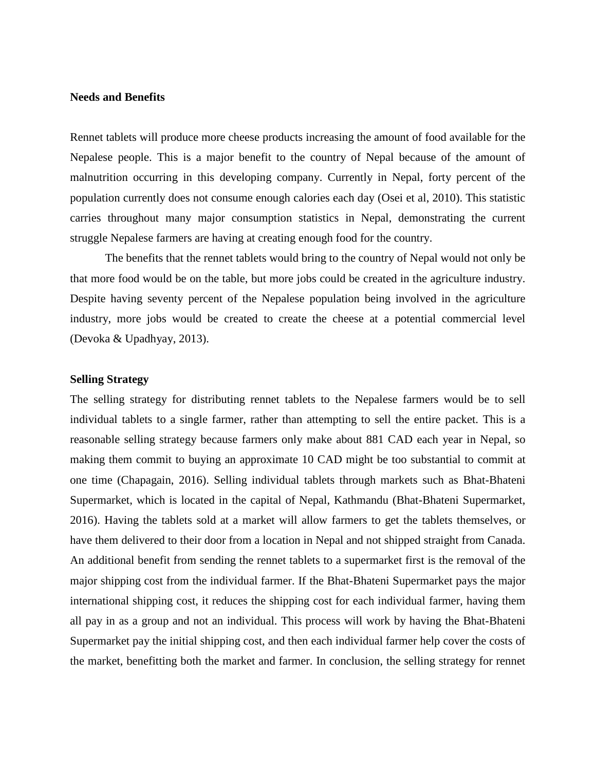# **Needs and Benefits**

Rennet tablets will produce more cheese products increasing the amount of food available for the Nepalese people. This is a major benefit to the country of Nepal because of the amount of malnutrition occurring in this developing company. Currently in Nepal, forty percent of the population currently does not consume enough calories each day (Osei et al, 2010). This statistic carries throughout many major consumption statistics in Nepal, demonstrating the current struggle Nepalese farmers are having at creating enough food for the country.

The benefits that the rennet tablets would bring to the country of Nepal would not only be that more food would be on the table, but more jobs could be created in the agriculture industry. Despite having seventy percent of the Nepalese population being involved in the agriculture industry, more jobs would be created to create the cheese at a potential commercial level (Devoka & Upadhyay, 2013).

# **Selling Strategy**

The selling strategy for distributing rennet tablets to the Nepalese farmers would be to sell individual tablets to a single farmer, rather than attempting to sell the entire packet. This is a reasonable selling strategy because farmers only make about 881 CAD each year in Nepal, so making them commit to buying an approximate 10 CAD might be too substantial to commit at one time (Chapagain, 2016). Selling individual tablets through markets such as Bhat-Bhateni Supermarket, which is located in the capital of Nepal, Kathmandu (Bhat-Bhateni Supermarket, 2016). Having the tablets sold at a market will allow farmers to get the tablets themselves, or have them delivered to their door from a location in Nepal and not shipped straight from Canada. An additional benefit from sending the rennet tablets to a supermarket first is the removal of the major shipping cost from the individual farmer. If the Bhat-Bhateni Supermarket pays the major international shipping cost, it reduces the shipping cost for each individual farmer, having them all pay in as a group and not an individual. This process will work by having the Bhat-Bhateni Supermarket pay the initial shipping cost, and then each individual farmer help cover the costs of the market, benefitting both the market and farmer. In conclusion, the selling strategy for rennet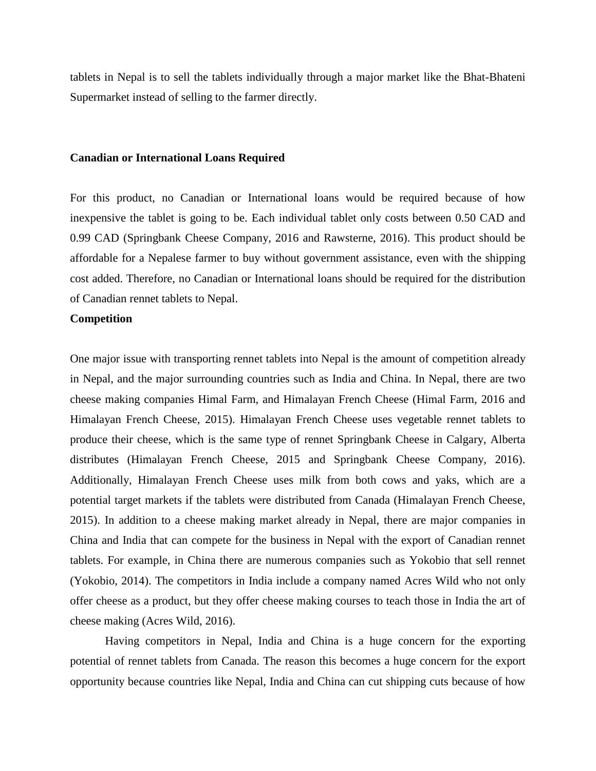tablets in Nepal is to sell the tablets individually through a major market like the Bhat-Bhateni Supermarket instead of selling to the farmer directly.

# **Canadian or International Loans Required**

For this product, no Canadian or International loans would be required because of how inexpensive the tablet is going to be. Each individual tablet only costs between 0.50 CAD and 0.99 CAD (Springbank Cheese Company, 2016 and Rawsterne, 2016). This product should be affordable for a Nepalese farmer to buy without government assistance, even with the shipping cost added. Therefore, no Canadian or International loans should be required for the distribution of Canadian rennet tablets to Nepal.

# **Competition**

One major issue with transporting rennet tablets into Nepal is the amount of competition already in Nepal, and the major surrounding countries such as India and China. In Nepal, there are two cheese making companies Himal Farm, and Himalayan French Cheese (Himal Farm, 2016 and Himalayan French Cheese, 2015). Himalayan French Cheese uses vegetable rennet tablets to produce their cheese, which is the same type of rennet Springbank Cheese in Calgary, Alberta distributes (Himalayan French Cheese, 2015 and Springbank Cheese Company, 2016). Additionally, Himalayan French Cheese uses milk from both cows and yaks, which are a potential target markets if the tablets were distributed from Canada (Himalayan French Cheese, 2015). In addition to a cheese making market already in Nepal, there are major companies in China and India that can compete for the business in Nepal with the export of Canadian rennet tablets. For example, in China there are numerous companies such as Yokobio that sell rennet (Yokobio, 2014). The competitors in India include a company named Acres Wild who not only offer cheese as a product, but they offer cheese making courses to teach those in India the art of cheese making (Acres Wild, 2016).

Having competitors in Nepal, India and China is a huge concern for the exporting potential of rennet tablets from Canada. The reason this becomes a huge concern for the export opportunity because countries like Nepal, India and China can cut shipping cuts because of how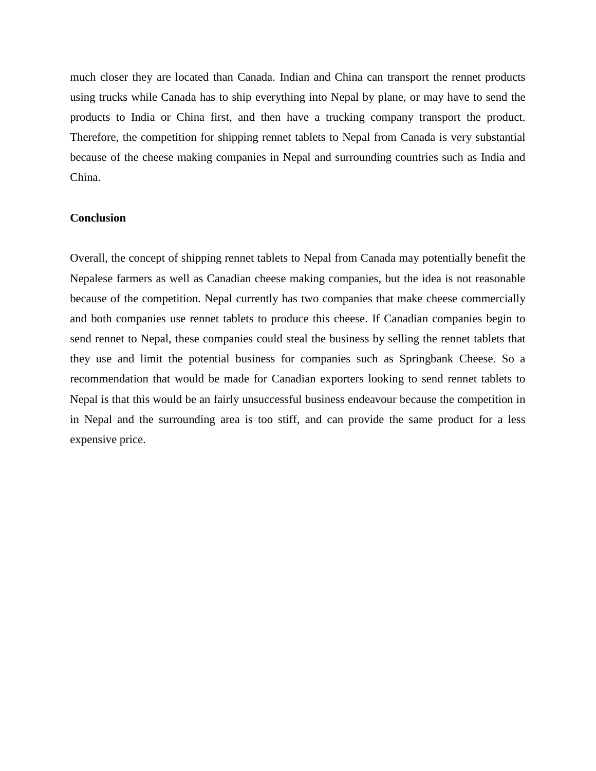much closer they are located than Canada. Indian and China can transport the rennet products using trucks while Canada has to ship everything into Nepal by plane, or may have to send the products to India or China first, and then have a trucking company transport the product. Therefore, the competition for shipping rennet tablets to Nepal from Canada is very substantial because of the cheese making companies in Nepal and surrounding countries such as India and China.

# **Conclusion**

Overall, the concept of shipping rennet tablets to Nepal from Canada may potentially benefit the Nepalese farmers as well as Canadian cheese making companies, but the idea is not reasonable because of the competition. Nepal currently has two companies that make cheese commercially and both companies use rennet tablets to produce this cheese. If Canadian companies begin to send rennet to Nepal, these companies could steal the business by selling the rennet tablets that they use and limit the potential business for companies such as Springbank Cheese. So a recommendation that would be made for Canadian exporters looking to send rennet tablets to Nepal is that this would be an fairly unsuccessful business endeavour because the competition in in Nepal and the surrounding area is too stiff, and can provide the same product for a less expensive price.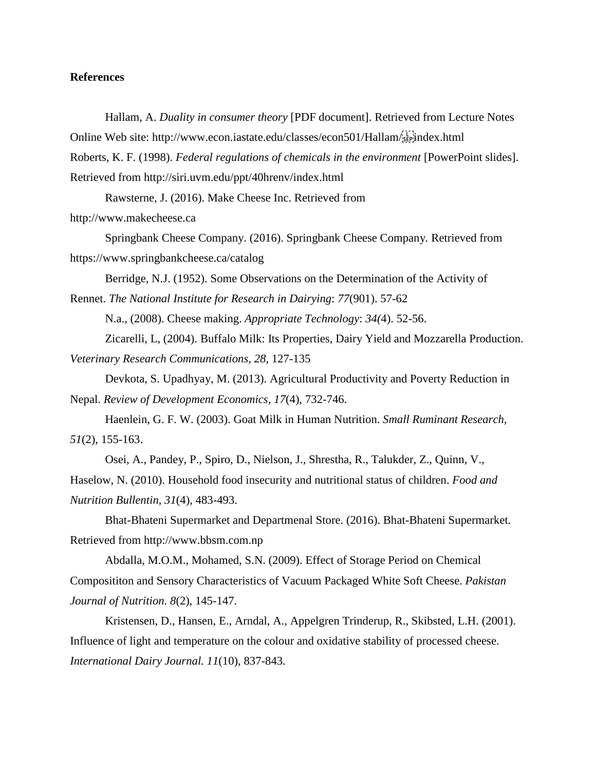# **References**

Hallam, A. *Duality in consumer theory* [PDF document]. Retrieved from Lecture Notes Online Web site: http://www.econ.iastate.edu/classes/econ501/Hallam/sepindex.html Roberts, K. F. (1998). *Federal regulations of chemicals in the environment* [PowerPoint slides]. Retrieved from http://siri.uvm.edu/ppt/40hrenv/index.html

Rawsterne, J. (2016). Make Cheese Inc. Retrieved from

http://www.makecheese.ca

Springbank Cheese Company. (2016). Springbank Cheese Company*.* Retrieved from https://www.springbankcheese.ca/catalog

Berridge, N.J. (1952). Some Observations on the Determination of the Activity of Rennet. *The National Institute for Research in Dairying*: *77*(901). 57-62

N.a., (2008). Cheese making. *Appropriate Technology*: *34(*4). 52-56.

Zicarelli, L, (2004). Buffalo Milk: Its Properties, Dairy Yield and Mozzarella Production. *Veterinary Research Communications, 28*, 127-135

Devkota, S. Upadhyay, M. (2013). Agricultural Productivity and Poverty Reduction in Nepal. *Review of Development Economics*, *17*(4), 732-746.

Haenlein, G. F. W. (2003). Goat Milk in Human Nutrition. *Small Ruminant Research, 51*(2), 155-163.

Osei, A., Pandey, P., Spiro, D., Nielson, J., Shrestha, R., Talukder, Z., Quinn, V., Haselow, N. (2010). Household food insecurity and nutritional status of children. *Food and Nutrition Bullentin, 31*(4), 483-493.

Bhat-Bhateni Supermarket and Departmenal Store. (2016). Bhat-Bhateni Supermarket. Retrieved from http://www.bbsm.com.np

Abdalla, M.O.M., Mohamed, S.N. (2009). Effect of Storage Period on Chemical Composititon and Sensory Characteristics of Vacuum Packaged White Soft Cheese. *Pakistan Journal of Nutrition. 8*(2), 145-147.

Kristensen, D., Hansen, E., Arndal, A., Appelgren Trinderup, R., Skibsted, L.H. (2001). Influence of light and temperature on the colour and oxidative stability of processed cheese. *International Dairy Journal. 11*(10), 837-843.